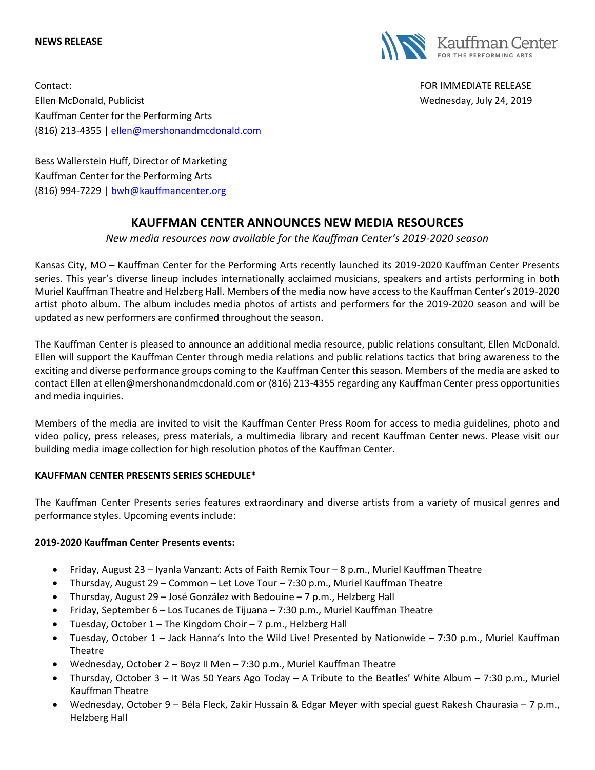#### **NEWS RELEASE**



Contact: FOR IMMEDIATE RELEASE Ellen McDonald, Publicist Wednesday, July 24, 2019 Kauffman Center for the Performing Arts (816) 213-4355 [| ellen@mershonandmcdonald.com](mailto:ellen@mershonandmcdonald.com)

Bess Wallerstein Huff, Director of Marketing Kauffman Center for the Performing Arts (816) 994-7229 | [bwh@kauffmancenter.org](mailto:bwh@kauffmancenter.org)

# **KAUFFMAN CENTER ANNOUNCES NEW MEDIA RESOURCES**

*New media resources now available for the Kauffman Center's 2019-2020 season*

Kansas City, MO – Kauffman Center for the Performing Arts recently launched its 2019-2020 Kauffman Center Presents series. This year's diverse lineup includes internationally acclaimed musicians, speakers and artists performing in both Muriel Kauffman Theatre and Helzberg Hall. Members of the media now have access to the Kauffman Center's 2019-2020 artist photo album. The album includes media photos of artists and performers for the 2019-2020 season and will be updated as new performers are confirmed throughout the season.

The Kauffman Center is pleased to announce an additional media resource, public relations consultant, Ellen McDonald. Ellen will support the Kauffman Center through media relations and public relations tactics that bring awareness to the exciting and diverse performance groups coming to the Kauffman Center this season. Members of the media are asked to contact Ellen at ellen@mershonandmcdonald.com or (816) 213-4355 regarding any Kauffman Center press opportunities and media inquiries.

Members of the media are invited to visit the Kauffman Center Press Room for access to media guidelines, photo and video policy, press releases, press materials, a multimedia library and recent Kauffman Center news. Please visit our building media image collection for high resolution photos of the Kauffman Center.

### **KAUFFMAN CENTER PRESENTS SERIES SCHEDULE\***

The Kauffman Center Presents series features extraordinary and diverse artists from a variety of musical genres and performance styles. Upcoming events include:

### **2019-2020 Kauffman Center Presents events:**

- Friday, August 23 Iyanla Vanzant: Acts of Faith Remix Tour 8 p.m., Muriel Kauffman Theatre
- Thursday, August 29 Common Let Love Tour 7:30 p.m., Muriel Kauffman Theatre
- Thursday, August 29 José González with Bedouine 7 p.m., Helzberg Hall
- Friday, September 6 Los Tucanes de Tijuana 7:30 p.m., Muriel Kauffman Theatre
- Tuesday, October 1 The Kingdom Choir 7 p.m., Helzberg Hall
- Tuesday, October 1 Jack Hanna's Into the Wild Live! Presented by Nationwide 7:30 p.m., Muriel Kauffman **Theatre**
- Wednesday, October 2 Boyz II Men 7:30 p.m., Muriel Kauffman Theatre
- Thursday, October 3 It Was 50 Years Ago Today A Tribute to the Beatles' White Album 7:30 p.m., Muriel Kauffman Theatre
- Wednesday, October 9 Béla Fleck, Zakir Hussain & Edgar Meyer with special guest Rakesh Chaurasia 7 p.m., Helzberg Hall